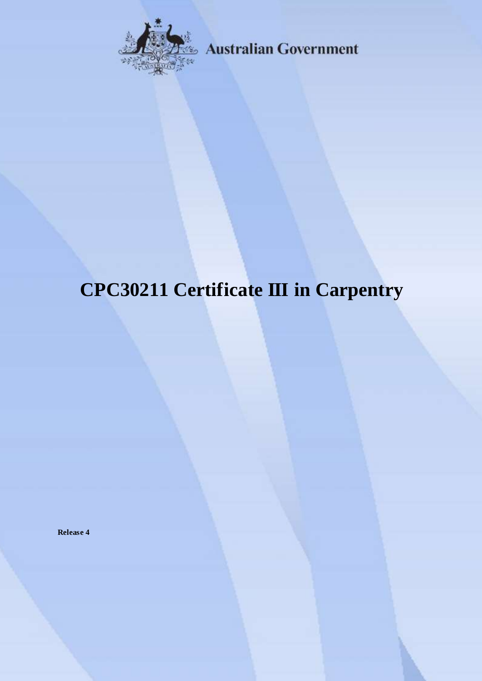

**Australian Government** 

# **CPC30211 Certificate III in Carpentry**

**Release 4**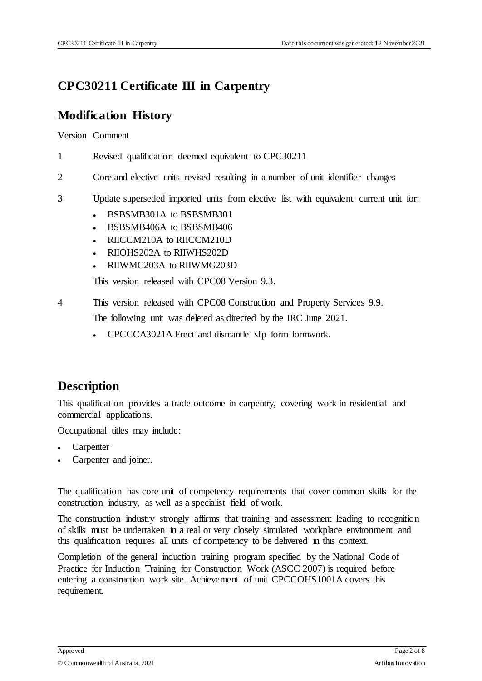# **CPC30211 Certificate III in Carpentry**

## **Modification History**

Version Comment

- 1 Revised qualification deemed equivalent to CPC30211
- 2 Core and elective units revised resulting in a number of unit identifier changes
- 3 Update superseded imported units from elective list with equivalent current unit for:
	- BSBSMB301A to BSBSMB301
	- BSBSMB406A to BSBSMB406
	- RIICCM210A to RIICCM210D
	- RIIOHS202A to RIIWHS202D
	- RIIWMG203A to RIIWMG203D

This version released with CPC08 Version 9.3.

4 This version released with CPC08 Construction and Property Services 9.9.

The following unit was deleted as directed by the IRC June 2021.

CPCCCA3021A Erect and dismantle slip form formwork.

## **Description**

This qualification provides a trade outcome in carpentry, covering work in residential and commercial applications.

Occupational titles may include:

- Carpenter
- Carpenter and joiner.

The qualification has core unit of competency requirements that cover common skills for the construction industry, as well as a specialist field of work.

The construction industry strongly affirms that training and assessment leading to recognition of skills must be undertaken in a real or very closely simulated workplace environment and this qualification requires all units of competency to be delivered in this context.

Completion of the general induction training program specified by the National Code of Practice for Induction Training for Construction Work (ASCC 2007) is required before entering a construction work site. Achievement of unit CPCCOHS1001A covers this requirement.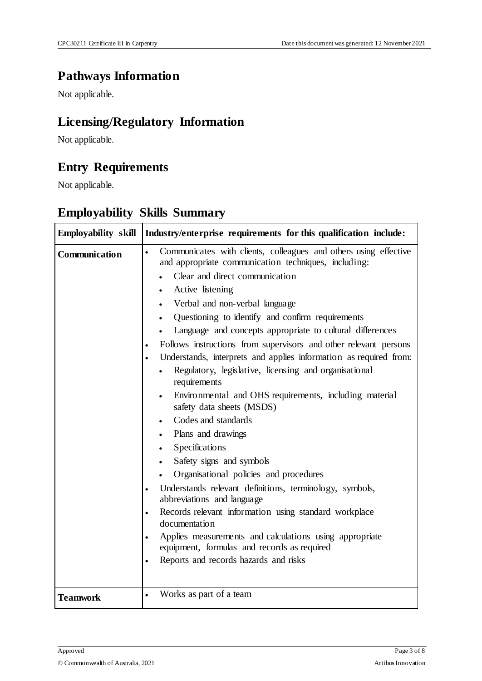## **Pathways Information**

Not applicable.

# **Licensing/Regulatory Information**

Not applicable.

## **Entry Requirements**

Not applicable.

| Employability skill  | Industry/enterprise requirements for this qualification include:                                                                                                                                                                                                                                                                                                                                                                                                                                                                                                                                                                                                                                                                                                                                                                                                                                                                                                                                                                                                                                                                                                       |
|----------------------|------------------------------------------------------------------------------------------------------------------------------------------------------------------------------------------------------------------------------------------------------------------------------------------------------------------------------------------------------------------------------------------------------------------------------------------------------------------------------------------------------------------------------------------------------------------------------------------------------------------------------------------------------------------------------------------------------------------------------------------------------------------------------------------------------------------------------------------------------------------------------------------------------------------------------------------------------------------------------------------------------------------------------------------------------------------------------------------------------------------------------------------------------------------------|
| <b>Communication</b> | Communicates with clients, colleagues and others using effective<br>$\bullet$<br>and appropriate communication techniques, including:<br>Clear and direct communication<br>Active listening<br>$\bullet$<br>Verbal and non-verbal language<br>Questioning to identify and confirm requirements<br>$\bullet$<br>Language and concepts appropriate to cultural differences<br>Follows instructions from supervisors and other relevant persons<br>Understands, interprets and applies information as required from:<br>Regulatory, legislative, licensing and organisational<br>requirements<br>Environmental and OHS requirements, including material<br>safety data sheets (MSDS)<br>Codes and standards<br>Plans and drawings<br>Specifications<br>Safety signs and symbols<br>Organisational policies and procedures<br>Understands relevant definitions, terminology, symbols,<br>abbreviations and language<br>Records relevant information using standard workplace<br>$\bullet$<br>documentation<br>Applies measurements and calculations using appropriate<br>$\bullet$<br>equipment, formulas and records as required<br>Reports and records hazards and risks |
| <b>Teamwork</b>      | Works as part of a team                                                                                                                                                                                                                                                                                                                                                                                                                                                                                                                                                                                                                                                                                                                                                                                                                                                                                                                                                                                                                                                                                                                                                |

# **Employability Skills Summary**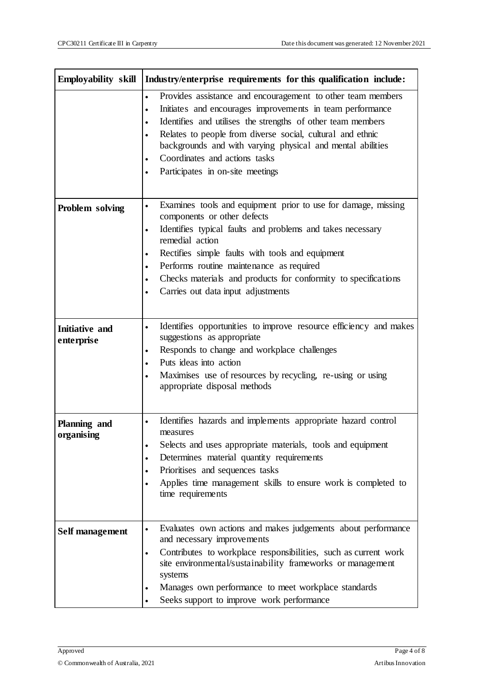| <b>Employability skill</b>          | Industry/enterprise requirements for this qualification include:                                                                                                                                                                                                                                                                                                                                                                               |
|-------------------------------------|------------------------------------------------------------------------------------------------------------------------------------------------------------------------------------------------------------------------------------------------------------------------------------------------------------------------------------------------------------------------------------------------------------------------------------------------|
|                                     | Provides assistance and encouragement to other team members<br>$\bullet$<br>Initiates and encourages improvements in team performance<br>$\bullet$<br>Identifies and utilises the strengths of other team members<br>$\bullet$<br>Relates to people from diverse social, cultural and ethnic<br>backgrounds and with varying physical and mental abilities<br>Coordinates and actions tasks<br>Participates in on-site meetings                |
| Problem solving                     | Examines tools and equipment prior to use for damage, missing<br>$\bullet$<br>components or other defects<br>Identifies typical faults and problems and takes necessary<br>$\bullet$<br>remedial action<br>Rectifies simple faults with tools and equipment<br>$\bullet$<br>Performs routine maintenance as required<br>$\bullet$<br>Checks materials and products for conformity to specifications<br>٠<br>Carries out data input adjustments |
| <b>Initiative and</b><br>enterprise | Identifies opportunities to improve resource efficiency and makes<br>$\bullet$<br>suggestions as appropriate<br>Responds to change and workplace challenges<br>$\bullet$<br>Puts ideas into action<br>$\bullet$<br>Maximises use of resources by recycling, re-using or using<br>appropriate disposal methods                                                                                                                                  |
| Planning and<br>organising          | Identifies hazards and implements appropriate hazard control<br>$\bullet$<br>measures<br>Selects and uses appropriate materials, tools and equipment<br>$\bullet$<br>Determines material quantity requirements<br>$\bullet$<br>Prioritises and sequences tasks<br>Applies time management skills to ensure work is completed to<br>time requirements                                                                                           |
| Self management                     | Evaluates own actions and makes judgements about performance<br>$\bullet$<br>and necessary improvements<br>Contributes to workplace responsibilities, such as current work<br>$\bullet$<br>site environmental/sustainability frameworks or management<br>systems<br>Manages own performance to meet workplace standards<br>$\bullet$<br>Seeks support to improve work performance<br>$\bullet$                                                 |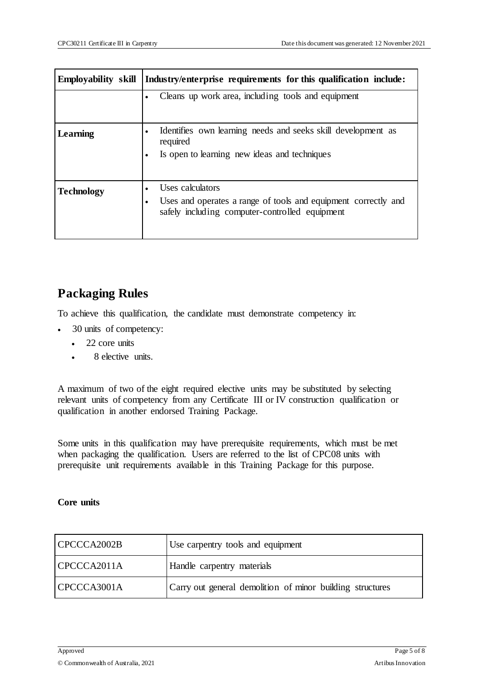| <b>Employability skill</b> | Industry/enterprise requirements for this qualification include:                                                                     |
|----------------------------|--------------------------------------------------------------------------------------------------------------------------------------|
|                            | Cleans up work area, including tools and equipment                                                                                   |
| Learning                   | Identifies own learning needs and seeks skill development as<br>required<br>Is open to learning new ideas and techniques             |
| <b>Technology</b>          | Uses calculators<br>Uses and operates a range of tools and equipment correctly and<br>safely including computer-controlled equipment |

### **Packaging Rules**

To achieve this qualification, the candidate must demonstrate competency in:

- 30 units of competency:
	- 22 core units
	- 8 elective units.

A maximum of two of the eight required elective units may be substituted by selecting relevant units of competency from any Certificate III or IV construction qualification or qualification in another endorsed Training Package.

Some units in this qualification may have prerequisite requirements, which must be met when packaging the qualification. Users are referred to the list of CPC08 units with prerequisite unit requirements available in this Training Package for this purpose.

#### **Core units**

| CPCCCA2002B | Use carpentry tools and equipment                         |
|-------------|-----------------------------------------------------------|
| CPCCCA2011A | Handle carpentry materials                                |
| CPCCCA3001A | Carry out general demolition of minor building structures |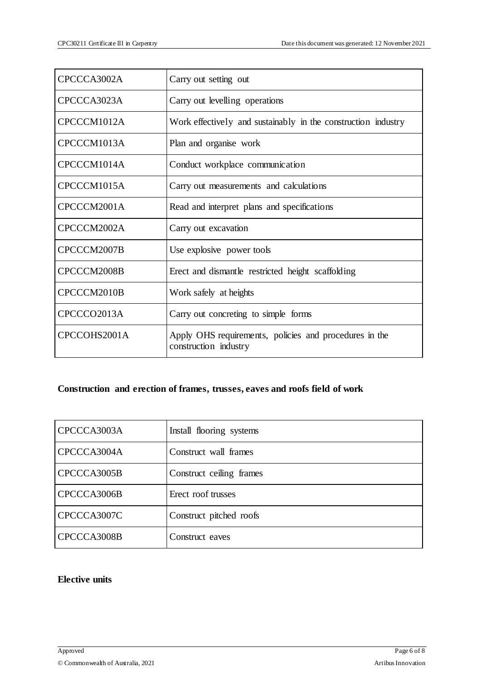| CPCCCA3002A  | Carry out setting out                                                           |
|--------------|---------------------------------------------------------------------------------|
| CPCCCA3023A  | Carry out levelling operations                                                  |
| CPCCCM1012A  | Work effectively and sustainably in the construction industry                   |
| CPCCCM1013A  | Plan and organise work                                                          |
| CPCCCM1014A  | Conduct workplace communication                                                 |
| CPCCCM1015A  | Carry out measurements and calculations                                         |
| CPCCCM2001A  | Read and interpret plans and specifications                                     |
| CPCCCM2002A  | Carry out excavation                                                            |
| CPCCCM2007B  | Use explosive power tools                                                       |
| CPCCCM2008B  | Erect and dismantle restricted height scaffolding                               |
| CPCCCM2010B  | Work safely at heights                                                          |
| CPCCCO2013A  | Carry out concreting to simple forms                                            |
| CPCCOHS2001A | Apply OHS requirements, policies and procedures in the<br>construction industry |

#### **Construction and erection of frames, trusses, eaves and roofs field of work**

| CPCCCA3003A | Install flooring systems |
|-------------|--------------------------|
| CPCCCA3004A | Construct wall frames    |
| CPCCCA3005B | Construct ceiling frames |
| CPCCCA3006B | Erect roof trusses       |
| CPCCCA3007C | Construct pitched roofs  |
| CPCCCA3008B | Construct eaves          |

#### **Elective units**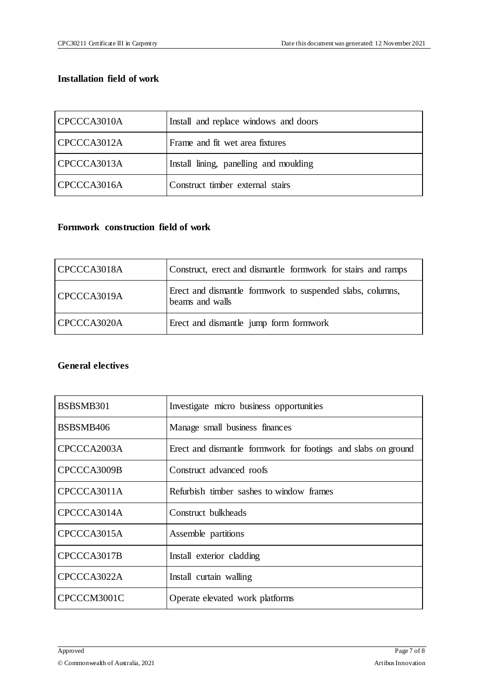#### **Installation field of work**

| CPCCCA3010A | Install and replace windows and doors  |
|-------------|----------------------------------------|
| CPCCCA3012A | Frame and fit wet area fixtures        |
| CPCCCA3013A | Install lining, panelling and moulding |
| CPCCCA3016A | Construct timber external stairs       |

#### **Formwork construction field of work**

| CPCCCA3018A | Construct, erect and dismantle formwork for stairs and ramps                 |
|-------------|------------------------------------------------------------------------------|
| CPCCCA3019A | Erect and dismantle formwork to suspended slabs, columns,<br>beams and walls |
| CPCCCA3020A | Erect and dismantle jump form formwork                                       |

#### **General electives**

| BSBSMB301   | Investigate micro business opportunities                      |
|-------------|---------------------------------------------------------------|
| BSBSMB406   | Manage small business finances                                |
| CPCCCA2003A | Erect and dismantle formwork for footings and slabs on ground |
| CPCCCA3009B | Construct advanced roofs                                      |
| CPCCCA3011A | Refurbish timber sashes to window frames                      |
| CPCCCA3014A | Construct bulkheads                                           |
| CPCCCA3015A | Assemble partitions                                           |
| CPCCCA3017B | Install exterior cladding                                     |
| CPCCCA3022A | Install curtain walling                                       |
| CPCCCM3001C | Operate elevated work platforms                               |